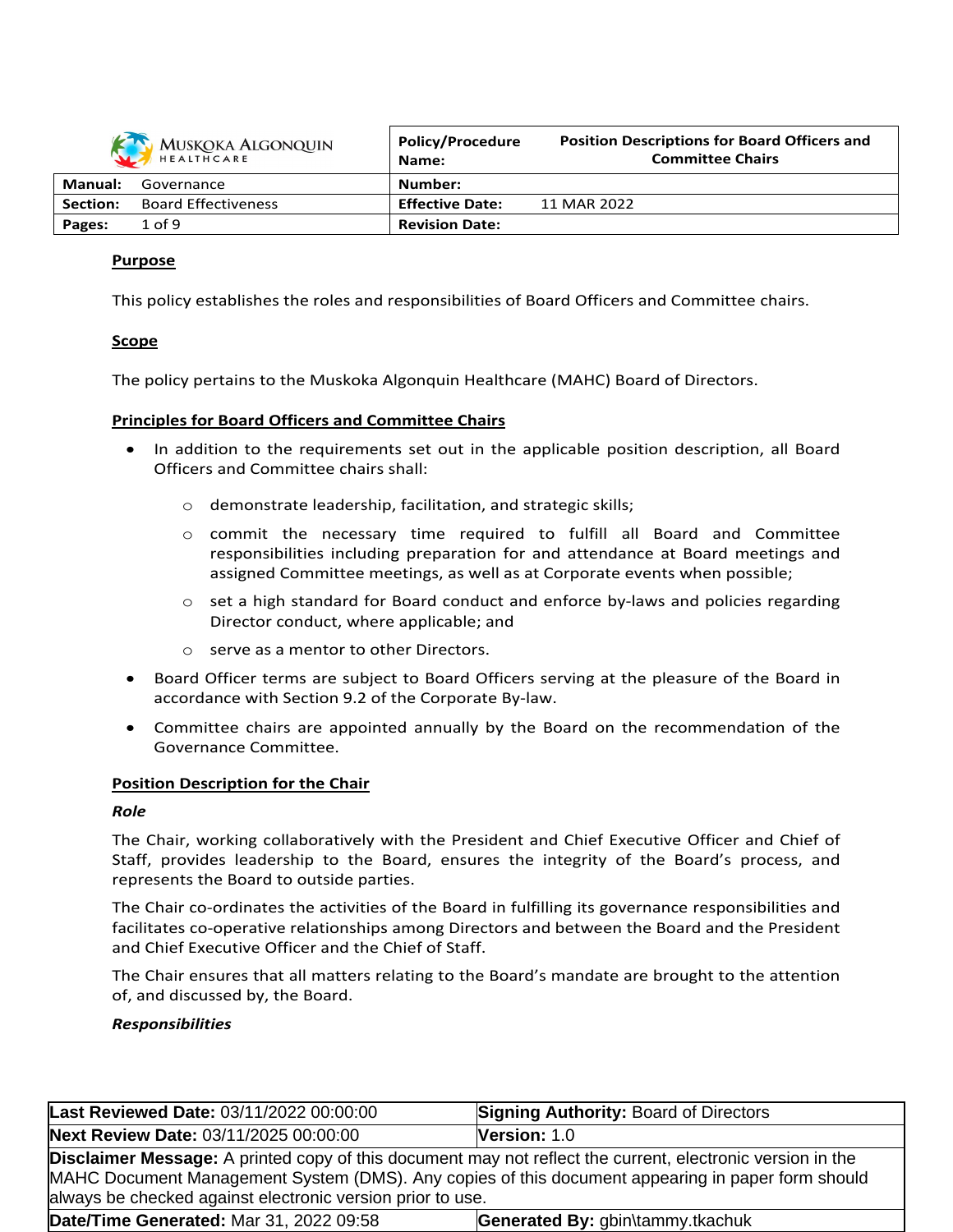| MUSKOKA ALGONQUIN |                            | <b>Policy/Procedure</b><br>Name: | <b>Position Descriptions for Board Officers and</b><br><b>Committee Chairs</b> |
|-------------------|----------------------------|----------------------------------|--------------------------------------------------------------------------------|
| Manual:           | Governance                 | Number:                          |                                                                                |
| Section:          | <b>Board Effectiveness</b> | <b>Effective Date:</b>           | 11 MAR 2022                                                                    |
| Pages:            | $1$ of 9                   | <b>Revision Date:</b>            |                                                                                |
|                   |                            |                                  |                                                                                |

# **Purpose**

This policy establishes the roles and responsibilities of Board Officers and Committee chairs.

# **Scope**

The policy pertains to the Muskoka Algonquin Healthcare (MAHC) Board of Directors.

# **Principles for Board Officers and Committee Chairs**

- In addition to the requirements set out in the applicable position description, all Board Officers and Committee chairs shall:
	- o demonstrate leadership, facilitation, and strategic skills;
	- $\circ$  commit the necessary time required to fulfill all Board and Committee responsibilities including preparation for and attendance at Board meetings and assigned Committee meetings, as well as at Corporate events when possible;
	- $\circ$  set a high standard for Board conduct and enforce by-laws and policies regarding Director conduct, where applicable; and
	- o serve as a mentor to other Directors.
- Board Officer terms are subject to Board Officers serving at the pleasure of the Board in accordance with Section 9.2 of the Corporate By-law.
- Committee chairs are appointed annually by the Board on the recommendation of the Governance Committee.

# **Position Description for the Chair**

# *Role*

The Chair, working collaboratively with the President and Chief Executive Officer and Chief of Staff, provides leadership to the Board, ensures the integrity of the Board's process, and represents the Board to outside parties.

The Chair co-ordinates the activities of the Board in fulfilling its governance responsibilities and facilitates co-operative relationships among Directors and between the Board and the President and Chief Executive Officer and the Chief of Staff.

The Chair ensures that all matters relating to the Board's mandate are brought to the attention of, and discussed by, the Board.

# *Responsibilities*

| Last Reviewed Date: 03/11/2022 00:00:00                                                                                                                                                                                                                                              | <b>Signing Authority: Board of Directors</b> |  |
|--------------------------------------------------------------------------------------------------------------------------------------------------------------------------------------------------------------------------------------------------------------------------------------|----------------------------------------------|--|
| Next Review Date: 03/11/2025 00:00:00                                                                                                                                                                                                                                                | Version: 1.0                                 |  |
| <b>Disclaimer Message:</b> A printed copy of this document may not reflect the current, electronic version in the<br>MAHC Document Management System (DMS). Any copies of this document appearing in paper form should<br>always be checked against electronic version prior to use. |                                              |  |
| Date/Time Generated: Mar 31, 2022 09:58                                                                                                                                                                                                                                              | Generated By: gbin\tammy.tkachuk             |  |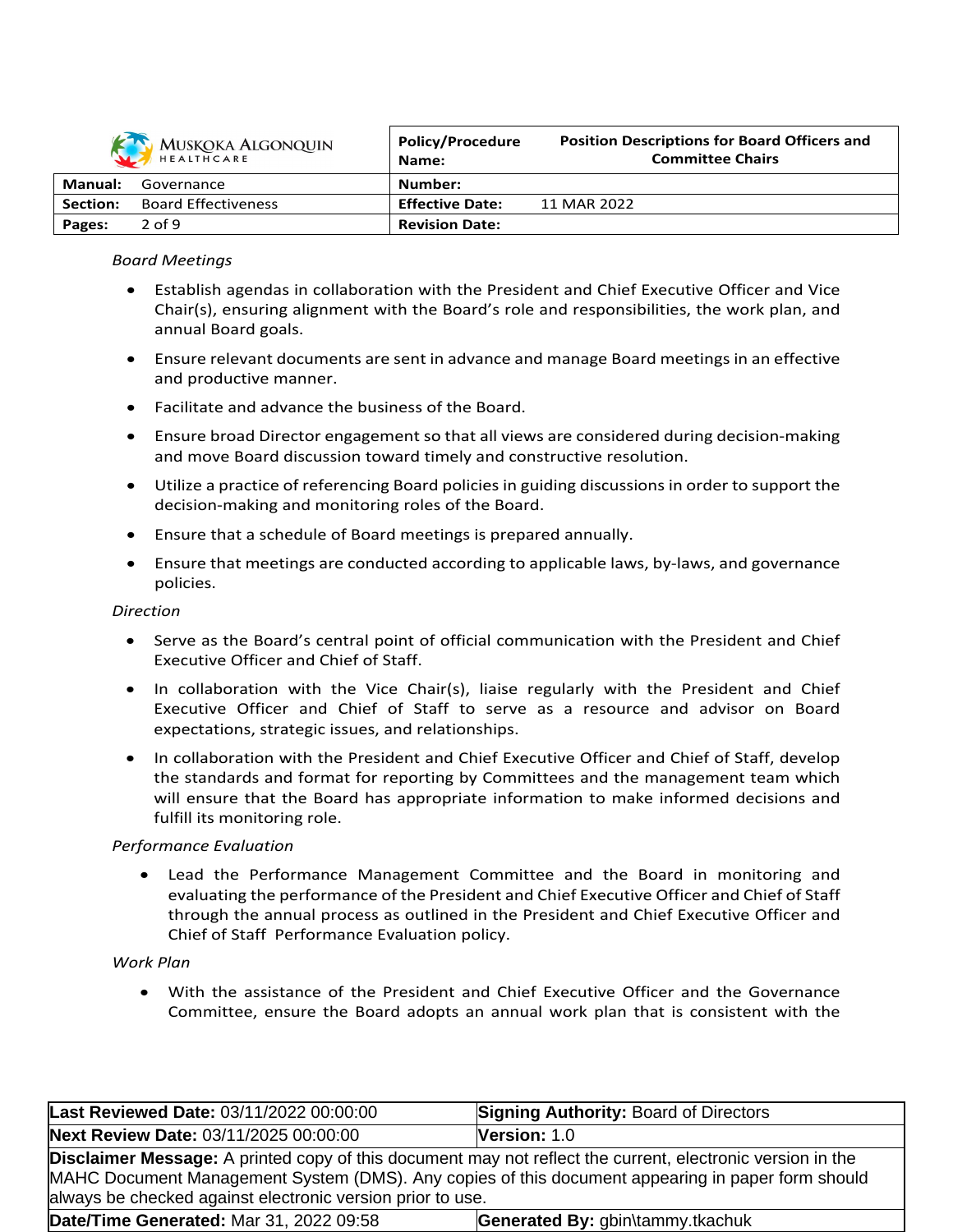

|                 | MUSKOKA ALGONQUIN          | <b>Policy/Procedure</b><br>Name: | <b>Position Descriptions for Board Officers and</b><br><b>Committee Chairs</b> |
|-----------------|----------------------------|----------------------------------|--------------------------------------------------------------------------------|
| Manual:         | Governance                 | Number:                          |                                                                                |
| <b>Section:</b> | <b>Board Effectiveness</b> | <b>Effective Date:</b>           | 11 MAR 2022                                                                    |
| Pages:          | $2$ of 9                   | <b>Revision Date:</b>            |                                                                                |

## *Board Meetings*

- Establish agendas in collaboration with the President and Chief Executive Officer and Vice Chair(s), ensuring alignment with the Board's role and responsibilities, the work plan, and annual Board goals.
- Ensure relevant documents are sent in advance and manage Board meetings in an effective and productive manner.
- Facilitate and advance the business of the Board.
- Ensure broad Director engagement so that all views are considered during decision-making and move Board discussion toward timely and constructive resolution.
- Utilize a practice of referencing Board policies in guiding discussions in order to support the decision-making and monitoring roles of the Board.
- Ensure that a schedule of Board meetings is prepared annually.
- Ensure that meetings are conducted according to applicable laws, by-laws, and governance policies.

#### *Direction*

- Serve as the Board's central point of official communication with the President and Chief Executive Officer and Chief of Staff.
- $\bullet$  In collaboration with the Vice Chair(s), liaise regularly with the President and Chief Executive Officer and Chief of Staff to serve as a resource and advisor on Board expectations, strategic issues, and relationships.
- In collaboration with the President and Chief Executive Officer and Chief of Staff, develop the standards and format for reporting by Committees and the management team which will ensure that the Board has appropriate information to make informed decisions and fulfill its monitoring role.

#### *Performance Evaluation*

 Lead the Performance Management Committee and the Board in monitoring and evaluating the performance of the President and Chief Executive Officer and Chief of Staff through the annual process as outlined in the President and Chief Executive Officer and Chief of Staff Performance Evaluation policy.

# *Work Plan*

 With the assistance of the President and Chief Executive Officer and the Governance Committee, ensure the Board adopts an annual work plan that is consistent with the

| Last Reviewed Date: 03/11/2022 00:00:00                                                                                                                                                                                                                                              | <b>Signing Authority: Board of Directors</b> |  |
|--------------------------------------------------------------------------------------------------------------------------------------------------------------------------------------------------------------------------------------------------------------------------------------|----------------------------------------------|--|
| Next Review Date: 03/11/2025 00:00:00                                                                                                                                                                                                                                                | Version: 1.0                                 |  |
| <b>Disclaimer Message:</b> A printed copy of this document may not reflect the current, electronic version in the<br>MAHC Document Management System (DMS). Any copies of this document appearing in paper form should<br>always be checked against electronic version prior to use. |                                              |  |
| Date/Time Generated: Mar 31, 2022 09:58<br>Generated By: gbin\tammy.tkachuk                                                                                                                                                                                                          |                                              |  |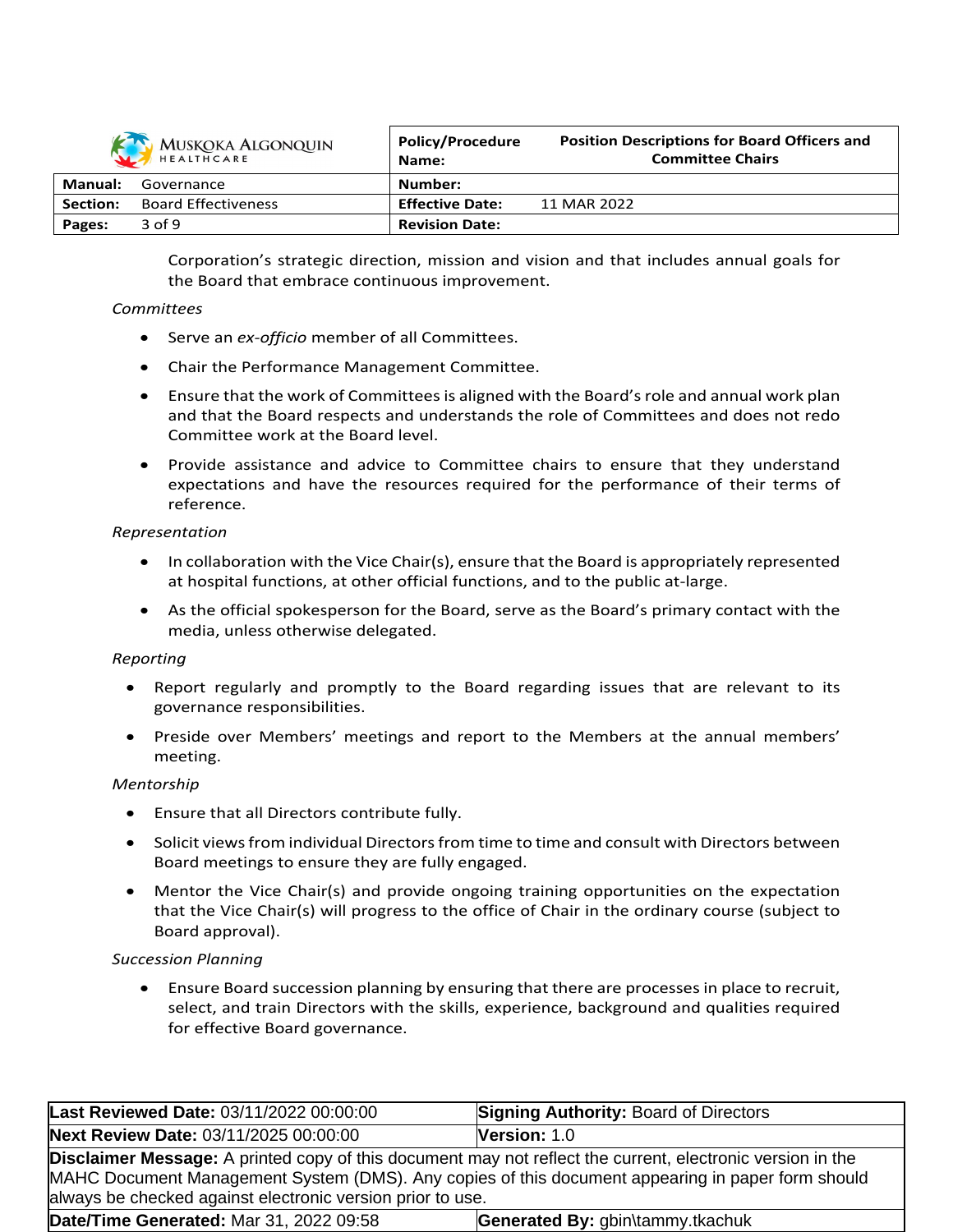

| <b><i>INIUSIQUIA ALGUINQUIN</i></b><br>HEALTHCARE |                            | Name:                  | <b>Committee Chairs</b> |
|---------------------------------------------------|----------------------------|------------------------|-------------------------|
| Manual:                                           | Governance                 | Number:                |                         |
| <b>Section:</b>                                   | <b>Board Effectiveness</b> | <b>Effective Date:</b> | 11 MAR 2022             |
| Pages:                                            | $3$ of $9$                 | <b>Revision Date:</b>  |                         |

**Policy/Procedure**

Corporation's strategic direction, mission and vision and that includes annual goals for the Board that embrace continuous improvement.

**Position Descriptions for Board Officers and**

#### *Committees*

- Serve an *ex-officio* member of all Committees.
- Chair the Performance Management Committee.
- Ensure that the work of Committees is aligned with the Board's role and annual work plan and that the Board respects and understands the role of Committees and does not redo Committee work at the Board level.
- Provide assistance and advice to Committee chairs to ensure that they understand expectations and have the resources required for the performance of their terms of reference.

## *Representation*

- $\bullet$  In collaboration with the Vice Chair(s), ensure that the Board is appropriately represented at hospital functions, at other official functions, and to the public at-large.
- As the official spokesperson for the Board, serve as the Board's primary contact with the media, unless otherwise delegated.

# *Reporting*

- Report regularly and promptly to the Board regarding issues that are relevant to its governance responsibilities.
- Preside over Members' meetings and report to the Members at the annual members' meeting.

#### *Mentorship*

- Ensure that all Directors contribute fully.
- Solicit views from individual Directors from time to time and consult with Directors between Board meetings to ensure they are fully engaged.
- Mentor the Vice Chair(s) and provide ongoing training opportunities on the expectation that the Vice Chair(s) will progress to the office of Chair in the ordinary course (subject to Board approval).

#### *Succession Planning*

 Ensure Board succession planning by ensuring that there are processes in place to recruit, select, and train Directors with the skills, experience, background and qualities required for effective Board governance.

| Last Reviewed Date: 03/11/2022 00:00:00                                                                                                                                                                                                                                              | <b>Signing Authority: Board of Directors</b> |  |
|--------------------------------------------------------------------------------------------------------------------------------------------------------------------------------------------------------------------------------------------------------------------------------------|----------------------------------------------|--|
| Next Review Date: 03/11/2025 00:00:00                                                                                                                                                                                                                                                | Version: 1.0                                 |  |
| <b>Disclaimer Message:</b> A printed copy of this document may not reflect the current, electronic version in the<br>MAHC Document Management System (DMS). Any copies of this document appearing in paper form should<br>always be checked against electronic version prior to use. |                                              |  |
| Date/Time Generated: Mar 31, 2022 09:58<br>Generated By: gbin\tammy.tkachuk                                                                                                                                                                                                          |                                              |  |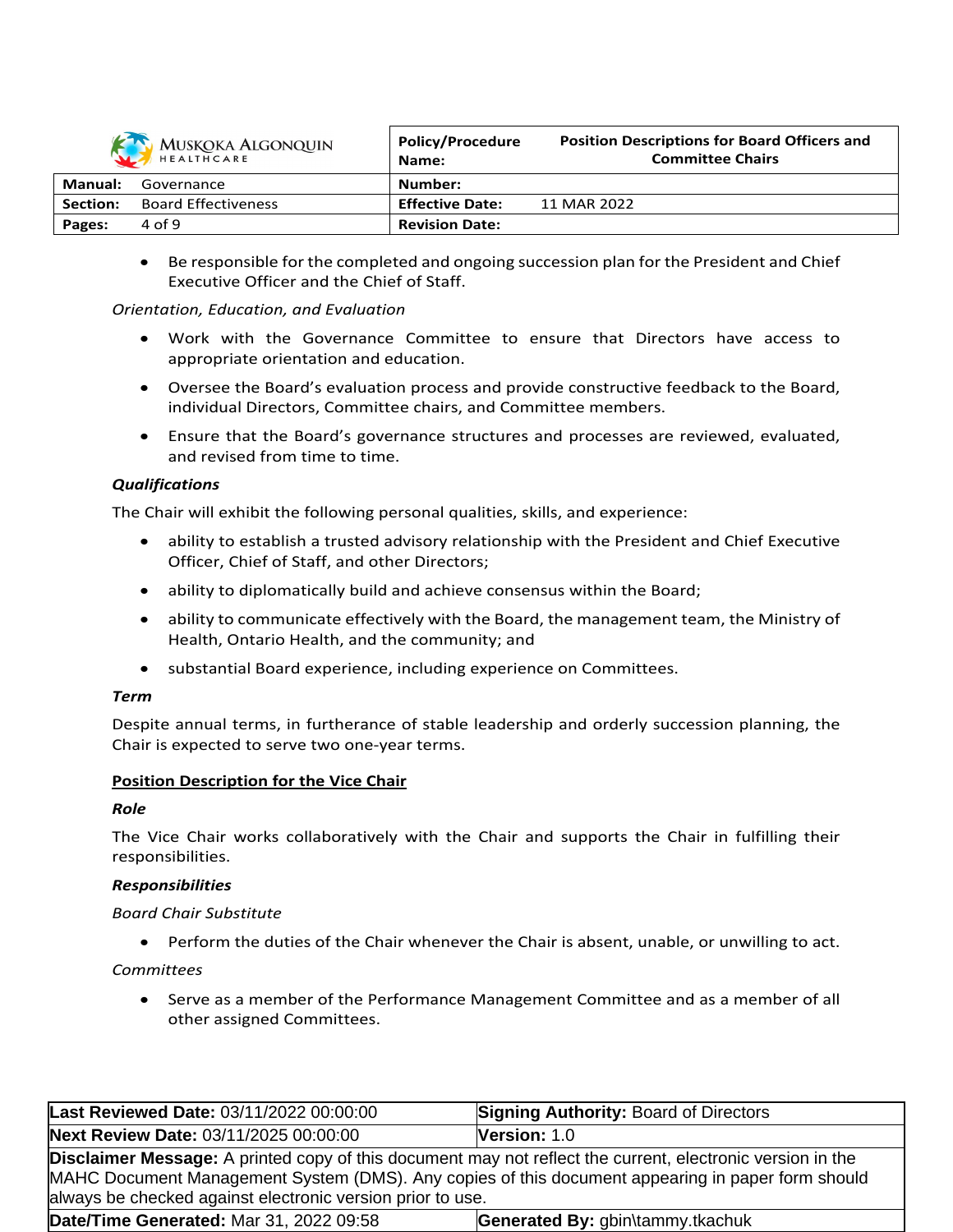

| <b>IVIUSNUNA ALGUNQUIN</b><br>HEALTHCARE |                            | , oney, , , occupi c<br>Name: | <b>Committee Chairs</b> |
|------------------------------------------|----------------------------|-------------------------------|-------------------------|
| Manual:                                  | Governance                 | Number:                       |                         |
| <b>Section:</b>                          | <b>Board Effectiveness</b> | <b>Effective Date:</b>        | 11 MAR 2022             |
| Pages:                                   | 4 of 9                     | <b>Revision Date:</b>         |                         |

**Position Descriptions for Board Officers and**

**Policy/Procedure**

 Be responsible for the completed and ongoing succession plan for the President and Chief Executive Officer and the Chief of Staff.

## *Orientation, Education, and Evaluation*

- Work with the Governance Committee to ensure that Directors have access to appropriate orientation and education.
- Oversee the Board's evaluation process and provide constructive feedback to the Board, individual Directors, Committee chairs, and Committee members.
- Ensure that the Board's governance structures and processes are reviewed, evaluated, and revised from time to time.

# *Qualifications*

The Chair will exhibit the following personal qualities, skills, and experience:

- ability to establish a trusted advisory relationship with the President and Chief Executive Officer, Chief of Staff, and other Directors;
- ability to diplomatically build and achieve consensus within the Board;
- ability to communicate effectively with the Board, the management team, the Ministry of Health, Ontario Health, and the community; and
- substantial Board experience, including experience on Committees.

#### *Term*

Despite annual terms, in furtherance of stable leadership and orderly succession planning, the Chair is expected to serve two one-year terms.

#### **Position Description for the Vice Chair**

#### *Role*

The Vice Chair works collaboratively with the Chair and supports the Chair in fulfilling their responsibilities.

#### *Responsibilities*

#### *Board Chair Substitute*

Perform the duties of the Chair whenever the Chair is absent, unable, or unwilling to act.

#### *Committees*

 Serve as a member of the Performance Management Committee and as a member of all other assigned Committees.

| Last Reviewed Date: 03/11/2022 00:00:00                                                                                                                                                                                                                                              | <b>Signing Authority: Board of Directors</b> |  |
|--------------------------------------------------------------------------------------------------------------------------------------------------------------------------------------------------------------------------------------------------------------------------------------|----------------------------------------------|--|
| Next Review Date: 03/11/2025 00:00:00                                                                                                                                                                                                                                                | Version: 1.0                                 |  |
| <b>Disclaimer Message:</b> A printed copy of this document may not reflect the current, electronic version in the<br>MAHC Document Management System (DMS). Any copies of this document appearing in paper form should<br>always be checked against electronic version prior to use. |                                              |  |
| Date/Time Generated: Mar 31, 2022 09:58<br>Generated By: gbin\tammy.tkachuk                                                                                                                                                                                                          |                                              |  |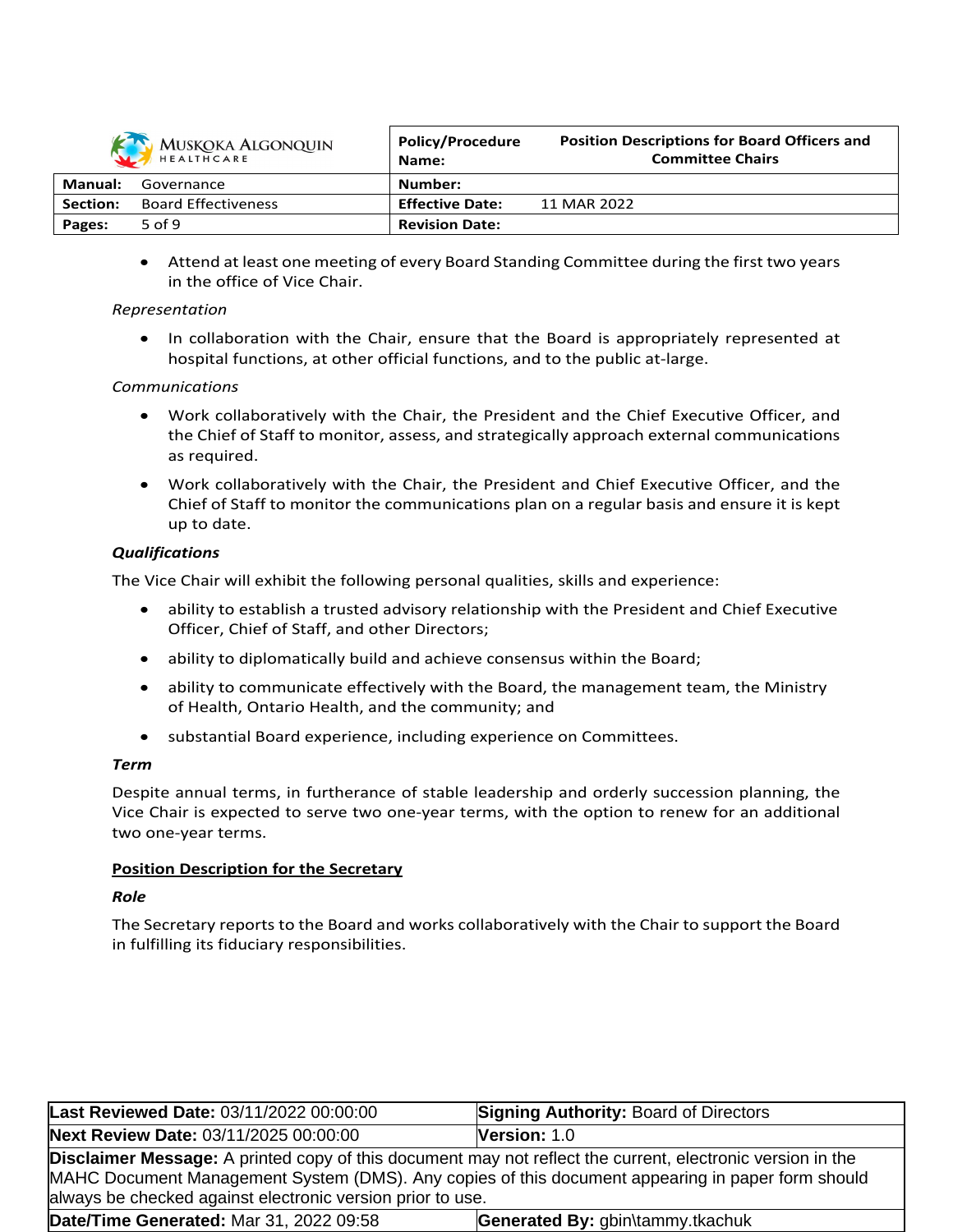

| MUSKOKA ALGONQUIN |                            | <b>Policy/Procedure</b><br>Name: | <b>Position Descriptions for Board Officers and</b><br><b>Committee Chairs</b> |
|-------------------|----------------------------|----------------------------------|--------------------------------------------------------------------------------|
| Manual:           | Governance                 | Number:                          |                                                                                |
| Section:          | <b>Board Effectiveness</b> | <b>Effective Date:</b>           | 11 MAR 2022                                                                    |
| Pages:            | 5 of 9                     | <b>Revision Date:</b>            |                                                                                |

 Attend at least one meeting of every Board Standing Committee during the first two years in the office of Vice Chair.

# *Representation*

• In collaboration with the Chair, ensure that the Board is appropriately represented at hospital functions, at other official functions, and to the public at-large.

## *Communications*

- Work collaboratively with the Chair, the President and the Chief Executive Officer, and the Chief of Staff to monitor, assess, and strategically approach external communications as required.
- Work collaboratively with the Chair, the President and Chief Executive Officer, and the Chief of Staff to monitor the communications plan on a regular basis and ensure it is kept up to date.

# *Qualifications*

The Vice Chair will exhibit the following personal qualities, skills and experience:

- ability to establish a trusted advisory relationship with the President and Chief Executive Officer, Chief of Staff, and other Directors;
- ability to diplomatically build and achieve consensus within the Board;
- ability to communicate effectively with the Board, the management team, the Ministry of Health, Ontario Health, and the community; and
- substantial Board experience, including experience on Committees.

# *Term*

Despite annual terms, in furtherance of stable leadership and orderly succession planning, the Vice Chair is expected to serve two one-year terms, with the option to renew for an additional two one-year terms.

# **Position Description for the Secretary**

#### *Role*

The Secretary reports to the Board and works collaboratively with the Chair to support the Board in fulfilling its fiduciary responsibilities.

| Last Reviewed Date: 03/11/2022 00:00:00                                                                                                                                                                                                                                              | <b>Signing Authority: Board of Directors</b> |  |
|--------------------------------------------------------------------------------------------------------------------------------------------------------------------------------------------------------------------------------------------------------------------------------------|----------------------------------------------|--|
| Next Review Date: 03/11/2025 00:00:00                                                                                                                                                                                                                                                | Version: 1.0                                 |  |
| <b>Disclaimer Message:</b> A printed copy of this document may not reflect the current, electronic version in the<br>MAHC Document Management System (DMS). Any copies of this document appearing in paper form should<br>always be checked against electronic version prior to use. |                                              |  |
| <b>Date/Time Generated: Mar 31, 2022 09:58</b><br>Generated By: gbin\tammy.tkachuk                                                                                                                                                                                                   |                                              |  |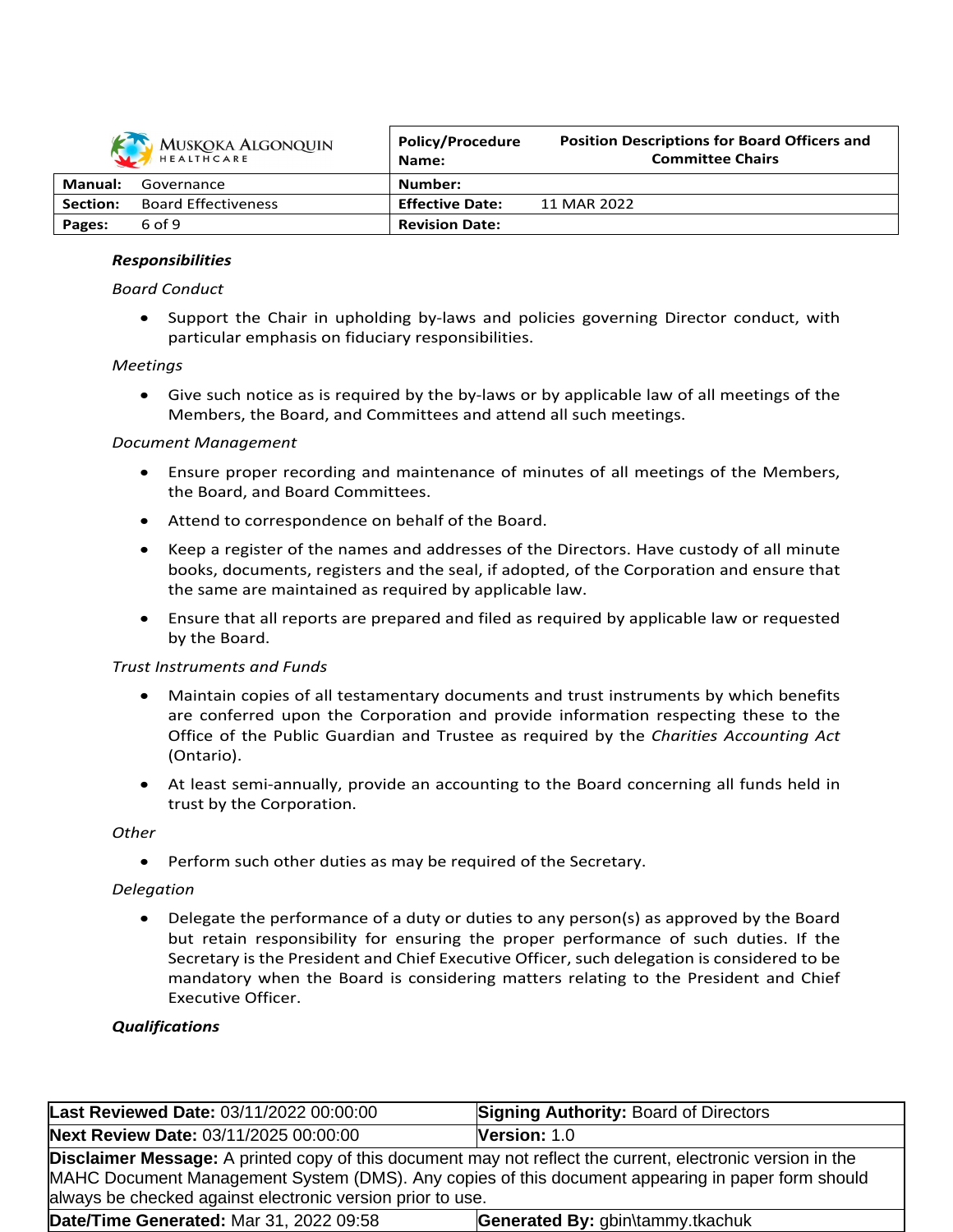

|          | <b><i>IVIOSIONA TEOUNQUIN</i></b><br>HEALTHCARE | Name:                  | <b>Committee Chairs</b> |
|----------|-------------------------------------------------|------------------------|-------------------------|
| Manual:  | Governance                                      | Number:                |                         |
| Section: | <b>Board Effectiveness</b>                      | <b>Effective Date:</b> | 11 MAR 2022             |
| Pages:   | 6 of 9                                          | <b>Revision Date:</b>  |                         |

**Position Descriptions for Board Officers and**

**Policy/Procedure**

#### *Responsibilities*

#### *Board Conduct*

 Support the Chair in upholding by-laws and policies governing Director conduct, with particular emphasis on fiduciary responsibilities.

#### *Meetings*

 Give such notice as is required by the by-laws or by applicable law of all meetings of the Members, the Board, and Committees and attend all such meetings.

#### *Document Management*

- Ensure proper recording and maintenance of minutes of all meetings of the Members, the Board, and Board Committees.
- Attend to correspondence on behalf of the Board.
- Keep a register of the names and addresses of the Directors. Have custody of all minute books, documents, registers and the seal, if adopted, of the Corporation and ensure that the same are maintained as required by applicable law.
- Ensure that all reports are prepared and filed as required by applicable law or requested by the Board.

#### *Trust Instruments and Funds*

- Maintain copies of all testamentary documents and trust instruments by which benefits are conferred upon the Corporation and provide information respecting these to the Office of the Public Guardian and Trustee as required by the *Charities Accounting Act* (Ontario).
- At least semi-annually, provide an accounting to the Board concerning all funds held in trust by the Corporation.

#### *Other*

• Perform such other duties as may be required of the Secretary.

#### *Delegation*

 Delegate the performance of a duty or duties to any person(s) as approved by the Board but retain responsibility for ensuring the proper performance of such duties. If the Secretary is the President and Chief Executive Officer, such delegation is considered to be mandatory when the Board is considering matters relating to the President and Chief Executive Officer.

#### *Qualifications*

| Last Reviewed Date: 03/11/2022 00:00:00                                                                                                                                                                                                                                              | <b>Signing Authority: Board of Directors</b> |  |
|--------------------------------------------------------------------------------------------------------------------------------------------------------------------------------------------------------------------------------------------------------------------------------------|----------------------------------------------|--|
| Next Review Date: 03/11/2025 00:00:00                                                                                                                                                                                                                                                | Version: 1.0                                 |  |
| <b>Disclaimer Message:</b> A printed copy of this document may not reflect the current, electronic version in the<br>MAHC Document Management System (DMS). Any copies of this document appearing in paper form should<br>always be checked against electronic version prior to use. |                                              |  |
| Date/Time Generated: Mar 31, 2022 09:58                                                                                                                                                                                                                                              | Generated By: gbin\tammy.tkachuk             |  |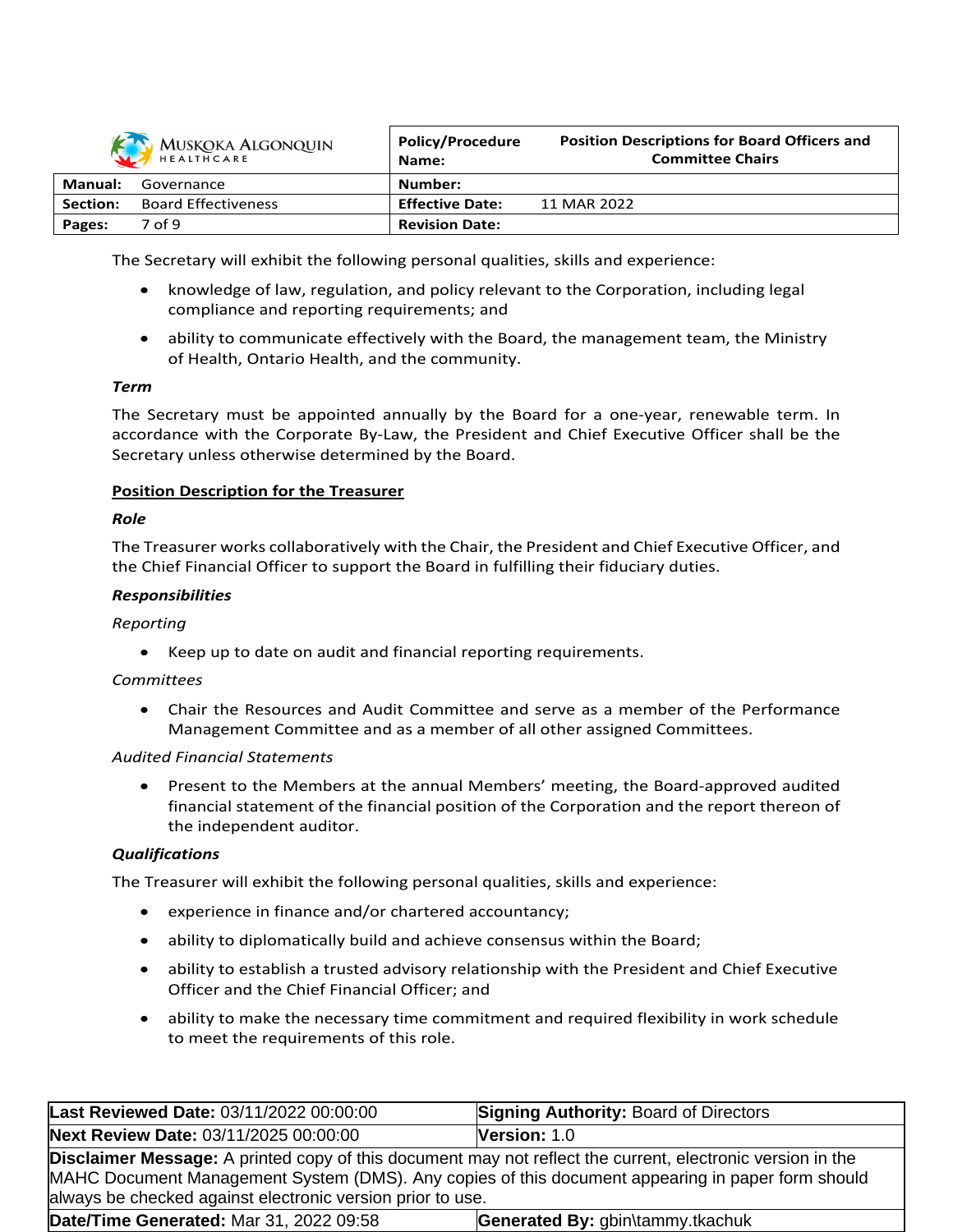

| <b>INIUJILUINT / LLUUINQUIIN</b><br>HEALTHCARE |                            | Name:                  | <b>Committee Chairs</b> |
|------------------------------------------------|----------------------------|------------------------|-------------------------|
| Manual:                                        | Governance                 | Number:                |                         |
| <b>Section:</b>                                | <b>Board Effectiveness</b> | <b>Effective Date:</b> | 11 MAR 2022             |
| Pages:                                         | 7 of 9                     | <b>Revision Date:</b>  |                         |

**Position Descriptions for Board Officers and**

**Policy/Procedure**

The Secretary will exhibit the following personal qualities, skills and experience:

- knowledge of law, regulation, and policy relevant to the Corporation, including legal compliance and reporting requirements; and
- ability to communicate effectively with the Board, the management team, the Ministry of Health, Ontario Health, and the community.

#### *Term*

The Secretary must be appointed annually by the Board for a one-year, renewable term. In accordance with the Corporate By-Law, the President and Chief Executive Officer shall be the Secretary unless otherwise determined by the Board.

#### **Position Description for the Treasurer**

#### *Role*

The Treasurer works collaboratively with the Chair, the President and Chief Executive Officer, and the Chief Financial Officer to support the Board in fulfilling their fiduciary duties.

#### *Responsibilities*

#### *Reporting*

• Keep up to date on audit and financial reporting requirements.

#### *Committees*

 Chair the Resources and Audit Committee and serve as a member of the Performance Management Committee and as a member of all other assigned Committees.

#### *Audited Financial Statements*

 Present to the Members at the annual Members' meeting, the Board-approved audited financial statement of the financial position of the Corporation and the report thereon of the independent auditor.

#### *Qualifications*

The Treasurer will exhibit the following personal qualities, skills and experience:

- experience in finance and/or chartered accountancy;
- ability to diplomatically build and achieve consensus within the Board;
- ability to establish a trusted advisory relationship with the President and Chief Executive Officer and the Chief Financial Officer; and
- ability to make the necessary time commitment and required flexibility in work schedule to meet the requirements of this role.

| Last Reviewed Date: 03/11/2022 00:00:00                                                                                                                                                                                                                                              | <b>Signing Authority: Board of Directors</b> |  |
|--------------------------------------------------------------------------------------------------------------------------------------------------------------------------------------------------------------------------------------------------------------------------------------|----------------------------------------------|--|
| Next Review Date: 03/11/2025 00:00:00                                                                                                                                                                                                                                                | Version: 1.0                                 |  |
| <b>Disclaimer Message:</b> A printed copy of this document may not reflect the current, electronic version in the<br>MAHC Document Management System (DMS). Any copies of this document appearing in paper form should<br>always be checked against electronic version prior to use. |                                              |  |
| Date/Time Generated: Mar 31, 2022 09:58                                                                                                                                                                                                                                              | Generated By: gbin\tammy.tkachuk             |  |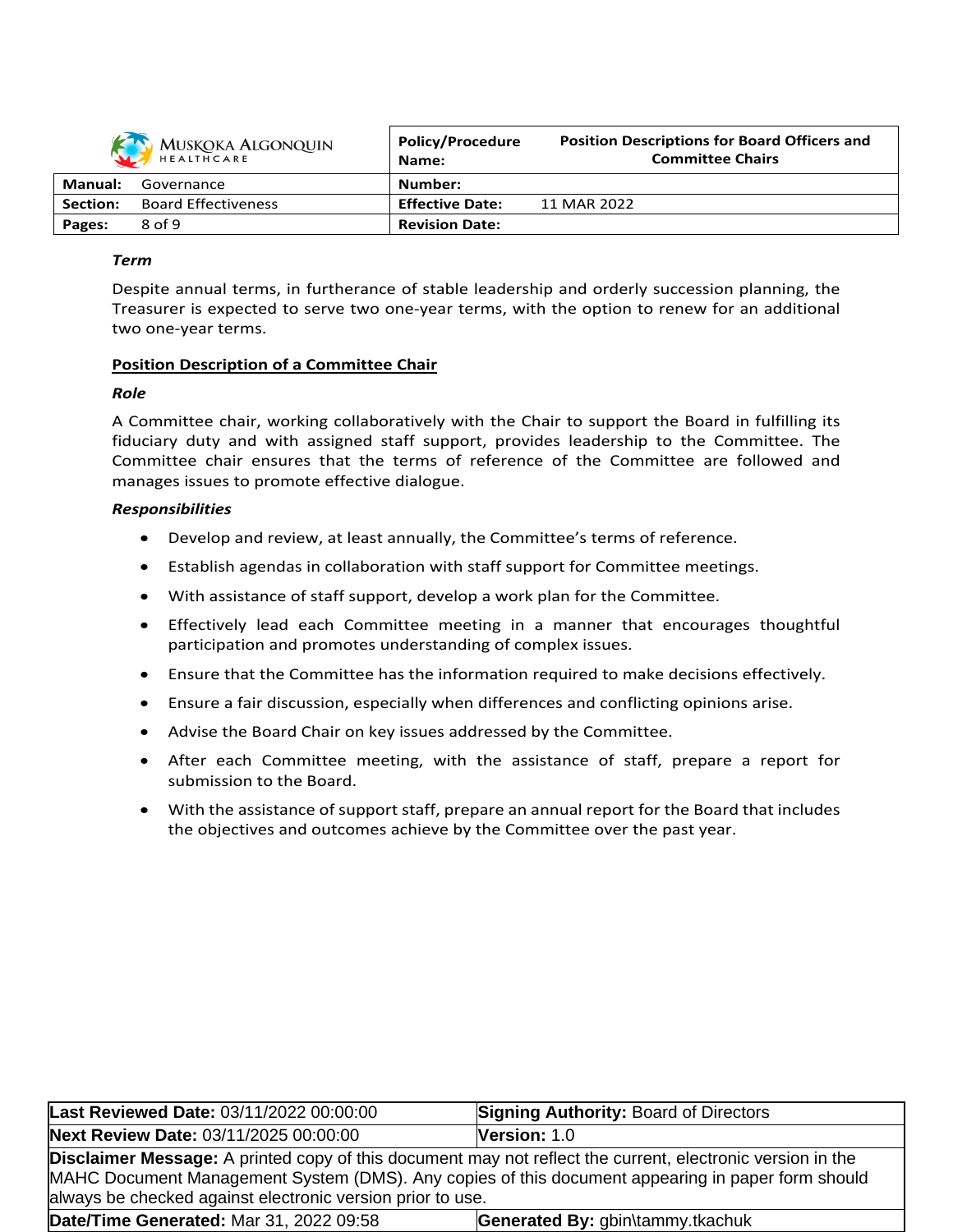| MUSKOKA ALGONQUIN |                            | Policy/Procedure<br>Name: | <b>Position Descriptions for Board Officers and</b><br><b>Committee Chairs</b> |
|-------------------|----------------------------|---------------------------|--------------------------------------------------------------------------------|
| Manual:           | Governance                 | Number:                   |                                                                                |
| Section:          | <b>Board Effectiveness</b> | <b>Effective Date:</b>    | 11 MAR 2022                                                                    |
| Pages:            | 8 of 9                     | <b>Revision Date:</b>     |                                                                                |

## *Term*

Despite annual terms, in furtherance of stable leadership and orderly succession planning, the Treasurer is expected to serve two one-year terms, with the option to renew for an additional two one-year terms.

## **Position Description of a Committee Chair**

#### *Role*

A Committee chair, working collaboratively with the Chair to support the Board in fulfilling its fiduciary duty and with assigned staff support, provides leadership to the Committee. The Committee chair ensures that the terms of reference of the Committee are followed and manages issues to promote effective dialogue.

#### *Responsibilities*

- Develop and review, at least annually, the Committee's terms of reference.
- Establish agendas in collaboration with staff support for Committee meetings.
- With assistance of staff support, develop a work plan for the Committee.
- Effectively lead each Committee meeting in a manner that encourages thoughtful participation and promotes understanding of complex issues.
- Ensure that the Committee has the information required to make decisions effectively.
- Ensure a fair discussion, especially when differences and conflicting opinions arise.
- Advise the Board Chair on key issues addressed by the Committee.
- After each Committee meeting, with the assistance of staff, prepare a report for submission to the Board.
- With the assistance of support staff, prepare an annual report for the Board that includes the objectives and outcomes achieve by the Committee over the past year.

| Last Reviewed Date: 03/11/2022 00:00:00                                                                                                                                                                                                                                              | <b>Signing Authority: Board of Directors</b> |  |
|--------------------------------------------------------------------------------------------------------------------------------------------------------------------------------------------------------------------------------------------------------------------------------------|----------------------------------------------|--|
| Next Review Date: 03/11/2025 00:00:00                                                                                                                                                                                                                                                | Version: 1.0                                 |  |
| <b>Disclaimer Message:</b> A printed copy of this document may not reflect the current, electronic version in the<br>MAHC Document Management System (DMS). Any copies of this document appearing in paper form should<br>always be checked against electronic version prior to use. |                                              |  |
| Date/Time Generated: Mar 31, 2022 09:58                                                                                                                                                                                                                                              | Generated By: gbin\tammy.tkachuk             |  |